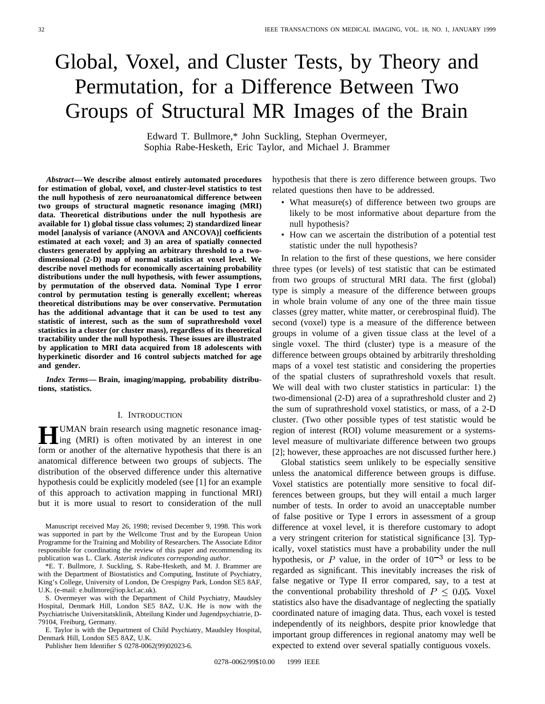# Global, Voxel, and Cluster Tests, by Theory and Permutation, for a Difference Between Two Groups of Structural MR Images of the Brain

Edward T. Bullmore,\* John Suckling, Stephan Overmeyer, Sophia Rabe-Hesketh, Eric Taylor, and Michael J. Brammer

*Abstract—***We describe almost entirely automated procedures for estimation of global, voxel, and cluster-level statistics to test the null hypothesis of zero neuroanatomical difference between two groups of structural magnetic resonance imaging (MRI) data. Theoretical distributions under the null hypothesis are available for 1) global tissue class volumes; 2) standardized linear model [analysis of variance (ANOVA and ANCOVA)] coefficients estimated at each voxel; and 3) an area of spatially connected clusters generated by applying an arbitrary threshold to a twodimensional (2-D) map of normal statistics at voxel level. We describe novel methods for economically ascertaining probability distributions under the null hypothesis, with fewer assumptions, by permutation of the observed data. Nominal Type I error control by permutation testing is generally excellent; whereas theoretical distributions may be over conservative. Permutation has the additional advantage that it can be used to test any statistic of interest, such as the sum of suprathreshold voxel statistics in a cluster (or cluster mass), regardless of its theoretical tractability under the null hypothesis. These issues are illustrated by application to MRI data acquired from 18 adolescents with hyperkinetic disorder and 16 control subjects matched for age and gender.**

*Index Terms—* **Brain, imaging/mapping, probability distributions, statistics.**

#### I. INTRODUCTION

**HUMAN** brain research using magnetic resonance imag-<br>ing (MRI) is often motivated by an interest in one<br>form an excellenge filte alternative bungthesis that there is an form or another of the alternative hypothesis that there is an anatomical difference between two groups of subjects. The distribution of the observed difference under this alternative hypothesis could be explicitly modeled (see [1] for an example of this approach to activation mapping in functional MRI) but it is more usual to resort to consideration of the null

Manuscript received May 26, 1998; revised December 9, 1998. This work was supported in part by the Wellcome Trust and by the European Union Programme for the Training and Mobility of Researchers. The Associate Editor responsible for coordinating the review of this paper and recommending its publication was L. Clark. *Asterisk indicates corresponding author*.

\*E. T. Bullmore, J. Suckling, S. Rabe-Hesketh, and M. J. Brammer are with the Department of Biostatistics and Computing, Institute of Psychiatry, King's College, University of London, De Crespigny Park, London SE5 8AF, U.K. (e-mail: e.bullmore@iop.kcl.ac.uk).

S. Overmeyer was with the Department of Child Psychiatry, Maudsley Hospital, Denmark Hill, London SE5 8AZ, U.K. He is now with the Psychiatrische Universitatsklinik, Abteilung Kinder und Jugendpsychiatrie, D-79104, Freiburg, Germany.

E. Taylor is with the Department of Child Psychiatry, Maudsley Hospital, Denmark Hill, London SE5 8AZ, U.K.

Publisher Item Identifier S 0278-0062(99)02023-6.

hypothesis that there is zero difference between groups. Two related questions then have to be addressed.

- What measure(s) of difference between two groups are likely to be most informative about departure from the null hypothesis?
- How can we ascertain the distribution of a potential test statistic under the null hypothesis?

In relation to the first of these questions, we here consider three types (or levels) of test statistic that can be estimated from two groups of structural MRI data. The first (global) type is simply a measure of the difference between groups in whole brain volume of any one of the three main tissue classes (grey matter, white matter, or cerebrospinal fluid). The second (voxel) type is a measure of the difference between groups in volume of a given tissue class at the level of a single voxel. The third (cluster) type is a measure of the difference between groups obtained by arbitrarily thresholding maps of a voxel test statistic and considering the properties of the spatial clusters of suprathreshold voxels that result. We will deal with two cluster statistics in particular: 1) the two-dimensional (2-D) area of a suprathreshold cluster and 2) the sum of suprathreshold voxel statistics, or mass, of a 2-D cluster. (Two other possible types of test statistic would be region of interest (ROI) volume measurement or a systemslevel measure of multivariate difference between two groups [2]; however, these approaches are not discussed further here.)

Global statistics seem unlikely to be especially sensitive unless the anatomical difference between groups is diffuse. Voxel statistics are potentially more sensitive to focal differences between groups, but they will entail a much larger number of tests. In order to avoid an unacceptable number of false positive or Type I errors in assessment of a group difference at voxel level, it is therefore customary to adopt a very stringent criterion for statistical significance [3]. Typically, voxel statistics must have a probability under the null hypothesis, or P value, in the order of  $10^{-3}$  or less to be regarded as significant. This inevitably increases the risk of false negative or Type II error compared, say, to a test at the conventional probability threshold of  $P \leq 0.05$ . Voxel statistics also have the disadvantage of neglecting the spatially coordinated nature of imaging data. Thus, each voxel is tested independently of its neighbors, despite prior knowledge that important group differences in regional anatomy may well be expected to extend over several spatially contiguous voxels.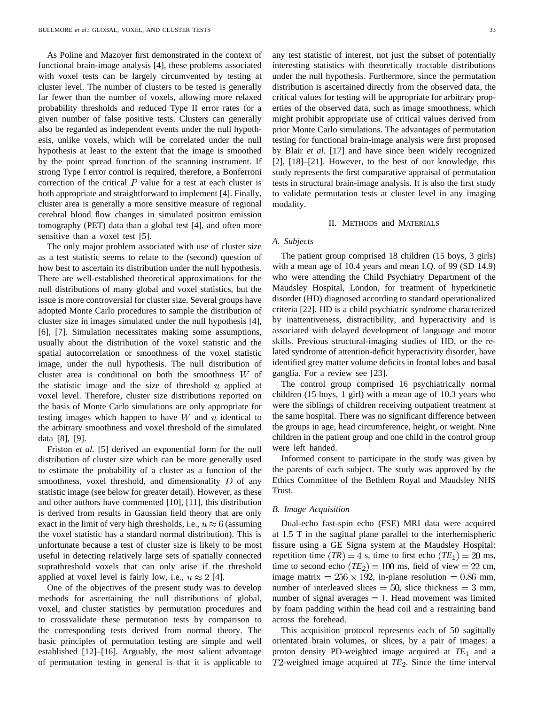As Poline and Mazoyer first demonstrated in the context of functional brain-image analysis [4], these problems associated with voxel tests can be largely circumvented by testing at cluster level. The number of clusters to be tested is generally far fewer than the number of voxels, allowing more relaxed probability thresholds and reduced Type II error rates for a given number of false positive tests. Clusters can generally also be regarded as independent events under the null hypothesis, unlike voxels, which will be correlated under the null hypothesis at least to the extent that the image is smoothed by the point spread function of the scanning instrument. If strong Type I error control is required, therefore, a Bonferroni correction of the critical  *value for a test at each cluster is* both appropriate and straightforward to implement [4]. Finally, cluster area is generally a more sensitive measure of regional cerebral blood flow changes in simulated positron emission tomography (PET) data than a global test [4], and often more sensitive than a voxel test [5].

The only major problem associated with use of cluster size as a test statistic seems to relate to the (second) question of how best to ascertain its distribution under the null hypothesis. There are well-established theoretical approximations for the null distributions of many global and voxel statistics, but the issue is more controversial for cluster size. Several groups have adopted Monte Carlo procedures to sample the distribution of cluster size in images simulated under the null hypothesis [4], [6], [7]. Simulation necessitates making some assumptions, usually about the distribution of the voxel statistic and the spatial autocorrelation or smoothness of the voxel statistic image, under the null hypothesis. The null distribution of cluster area is conditional on both the smoothness  $W$  of the statistic image and the size of threshold  $u$  applied at voxel level. Therefore, cluster size distributions reported on the basis of Monte Carlo simulations are only appropriate for testing images which happen to have  $W$  and  $u$  identical to the arbitrary smoothness and voxel threshold of the simulated data [8], [9].

Friston *et al.* [5] derived an exponential form for the null distribution of cluster size which can be more generally used to estimate the probability of a cluster as a function of the smoothness, voxel threshold, and dimensionality  $D$  of any statistic image (see below for greater detail). However, as these and other authors have commented [10], [11], this distribution is derived from results in Gaussian field theory that are only exact in the limit of very high thresholds, i.e.,  $u \approx 6$  (assuming the voxel statistic has a standard normal distribution). This is unfortunate because a test of cluster size is likely to be most useful in detecting relatively large sets of spatially connected suprathreshold voxels that can only arise if the threshold applied at voxel level is fairly low, i.e.,  $u \approx 2$  [4].

One of the objectives of the present study was to develop methods for ascertaining the null distributions of global, voxel, and cluster statistics by permutation procedures and to crossvalidate these permutation tests by comparison to the corresponding tests derived from normal theory. The basic principles of permutation testing are simple and well established [12]–[16]. Arguably, the most salient advantage of permutation testing in general is that it is applicable to any test statistic of interest, not just the subset of potentially interesting statistics with theoretically tractable distributions under the null hypothesis. Furthermore, since the permutation distribution is ascertained directly from the observed data, the critical values for testing will be appropriate for arbitrary properties of the observed data, such as image smoothness, which might prohibit appropriate use of critical values derived from prior Monte Carlo simulations. The advantages of permutation testing for functional brain-image analysis were first proposed by Blair *et al.* [17] and have since been widely recognized [2], [18]–[21]. However, to the best of our knowledge, this study represents the first comparative appraisal of permutation tests in structural brain-image analysis. It is also the first study to validate permutation tests at cluster level in any imaging modality.

# II. METHODS and MATERIALS

# *A. Subjects*

The patient group comprised 18 children (15 boys, 3 girls) with a mean age of 10.4 years and mean I.Q. of 99 (SD 14.9) who were attending the Child Psychiatry Department of the Maudsley Hospital, London, for treatment of hyperkinetic disorder (HD) diagnosed according to standard operationalized criteria [22]. HD is a child psychiatric syndrome characterized by inattentiveness, distractibility, and hyperactivity and is associated with delayed development of language and motor skills. Previous structural-imaging studies of HD, or the related syndrome of attention-deficit hyperactivity disorder, have identified grey matter volume deficits in frontal lobes and basal ganglia. For a review see [23].

The control group comprised 16 psychiatrically normal children (15 boys, 1 girl) with a mean age of 10.3 years who were the siblings of children receiving outpatient treatment at the same hospital. There was no significant difference between the groups in age, head circumference, height, or weight. Nine children in the patient group and one child in the control group were left handed.

Informed consent to participate in the study was given by the parents of each subject. The study was approved by the Ethics Committee of the Bethlem Royal and Maudsley NHS Trust.

# *B. Image Acquisition*

Dual-echo fast-spin echo (FSE) MRI data were acquired at 1.5 T in the sagittal plane parallel to the interhemispheric fissure using a GE Signa system at the Maudsley Hospital: repetition time  $(TR) = 4$  s, time to first echo  $(TE_1) = 20$  ms, time to second echo  $(TE_2) = 100$  ms, field of view = 22 cm, image matrix  $= 256 \times 192$ , in-plane resolution  $= 0.86$  mm, number of interleaved slices  $= 50$ , slice thickness  $= 3$  mm, number of signal averages  $= 1$ . Head movement was limited by foam padding within the head coil and a restraining band across the forehead.

This acquisition protocol represents each of 50 sagittally orientated brain volumes, or slices, by a pair of images: a proton density PD-weighted image acquired at TE<sub>1</sub> and a  $T2$ -weighted image acquired at  $TE_2$ . Since the time interval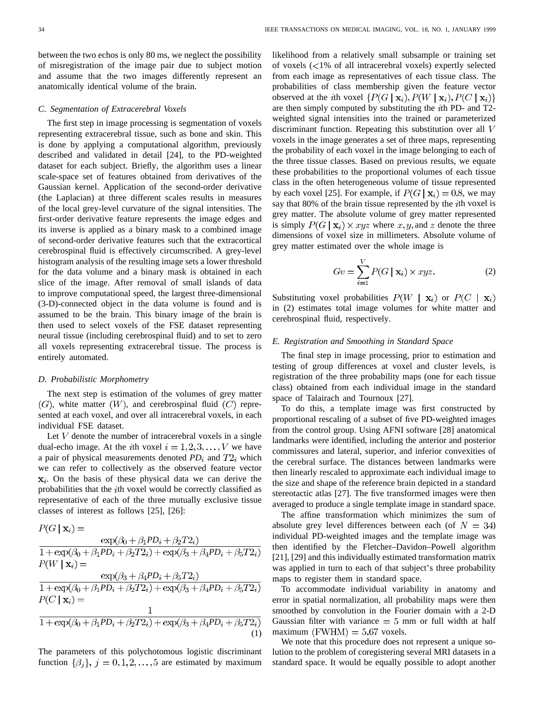between the two echos is only 80 ms, we neglect the possibility of misregistration of the image pair due to subject motion and assume that the two images differently represent an anatomically identical volume of the brain.

#### *C. Segmentation of Extracerebral Voxels*

The first step in image processing is segmentation of voxels representing extracerebral tissue, such as bone and skin. This is done by applying a computational algorithm, previously described and validated in detail [24], to the PD-weighted dataset for each subject. Briefly, the algorithm uses a linear scale-space set of features obtained from derivatives of the Gaussian kernel. Application of the second-order derivative (the Laplacian) at three different scales results in measures of the local grey-level curvature of the signal intensities. The first-order derivative feature represents the image edges and its inverse is applied as a binary mask to a combined image of second-order derivative features such that the extracortical cerebrospinal fluid is effectively circumscribed. A grey-level histogram analysis of the resulting image sets a lower threshold for the data volume and a binary mask is obtained in each slice of the image. After removal of small islands of data to improve computational speed, the largest three-dimensional (3-D)-connected object in the data volume is found and is assumed to be the brain. This binary image of the brain is then used to select voxels of the FSE dataset representing neural tissue (including cerebrospinal fluid) and to set to zero all voxels representing extracerebral tissue. The process is entirely automated.

# *D. Probabilistic Morphometry*

The next step is estimation of the volumes of grey matter  $(G)$ , white matter  $(W)$ , and cerebrospinal fluid  $(C)$  represented at each voxel, and over all intracerebral voxels, in each individual FSE dataset.

Let  $V$  denote the number of intracerebral voxels in a single dual-echo image. At the *i*th voxel  $i = 1, 2, 3, ..., V$  we have a pair of physical measurements denoted  $PD_i$  and  $T2_i$  which we can refer to collectively as the observed feature vector  $x_i$ . On the basis of these physical data we can derive the probabilities that the  $i$ th voxel would be correctly classified as representative of each of the three mutually exclusive tissue classes of interest as follows [25], [26]:

$$
P(G | \mathbf{x}_i) = \frac{\exp(\beta_0 + \beta_1 PD_i + \beta_2 T2_i)}{1 + \exp(\beta_0 + \beta_1 PD_i + \beta_2 T2_i) + \exp(\beta_3 + \beta_4 PD_i + \beta_5 T2_i)} P(W | \mathbf{x}_i) = \frac{\exp(\beta_3 + \beta_4 PD_i + \beta_5 T2_i)}{1 + \exp(\beta_0 + \beta_1 PD_i + \beta_2 T2_i) + \exp(\beta_3 + \beta_4 PD_i + \beta_5 T2_i)} P(C | \mathbf{x}_i) = \frac{1}{1 + \exp(\beta_0 + \beta_1 PD_i + \beta_2 T2_i) + \exp(\beta_3 + \beta_4 PD_i + \beta_5 T2_i)}
$$
(1)

The parameters of this polychotomous logistic discriminant function  $\{\beta_j\}, j = 0, 1, 2, \ldots, 5$  are estimated by maximum likelihood from a relatively small subsample or training set of voxels  $\langle$ <1% of all intracerebral voxels) expertly selected from each image as representatives of each tissue class. The probabilities of class membership given the feature vector observed at the *i*th voxel  $\{P(G \mid \mathbf{x}_i), P(W \mid \mathbf{x}_i), P(C \mid \mathbf{x}_i)\}$ are then simply computed by substituting the  $i$ th PD- and T2weighted signal intensities into the trained or parameterized discriminant function. Repeating this substitution over all V voxels in the image generates a set of three maps, representing the probability of each voxel in the image belonging to each of the three tissue classes. Based on previous results, we equate these probabilities to the proportional volumes of each tissue class in the often heterogeneous volume of tissue represented by each voxel [25]. For example, if  $P(G | \mathbf{x}_i) = 0.8$ , we may say that 80% of the brain tissue represented by the *i*th voxel is grey matter. The absolute volume of grey matter represented is simply  $P(G | \mathbf{x}_i) \times xyz$  where  $x, y$ , and z denote the three dimensions of voxel size in millimeters. Absolute volume of grey matter estimated over the whole image is

$$
Gv = \sum_{i=1}^{V} P(G \mid \mathbf{x}_i) \times xyz.
$$
 (2)

Substituting voxel probabilities  $P(W | \mathbf{x}_i)$  or  $P(C | \mathbf{x}_i)$ in (2) estimates total image volumes for white matter and cerebrospinal fluid, respectively.

# *E. Registration and Smoothing in Standard Space*

The final step in image processing, prior to estimation and testing of group differences at voxel and cluster levels, is registration of the three probability maps (one for each tissue class) obtained from each individual image in the standard space of Talairach and Tournoux [27].

To do this, a template image was first constructed by proportional rescaling of a subset of five PD-weighted images from the control group. Using AFNI software [28] anatomical landmarks were identified, including the anterior and posterior commissures and lateral, superior, and inferior convexities of the cerebral surface. The distances between landmarks were then linearly rescaled to approximate each individual image to the size and shape of the reference brain depicted in a standard stereotactic atlas [27]. The five transformed images were then averaged to produce a single template image in standard space.

The affine transformation which minimizes the sum of absolute grey level differences between each (of  $N = 34$ ) individual PD-weighted images and the template image was then identified by the Fletcher–Davidon–Powell algorithm [21], [29] and this individually estimated transformation matrix was applied in turn to each of that subject's three probability maps to register them in standard space.

To accommodate individual variability in anatomy and error in spatial normalization, all probability maps were then smoothed by convolution in the Fourier domain with a 2-D Gaussian filter with variance  $= 5$  mm or full width at half maximum (FWHM)  $= 5.67$  voxels.

We note that this procedure does not represent a unique solution to the problem of coregistering several MRI datasets in a standard space. It would be equally possible to adopt another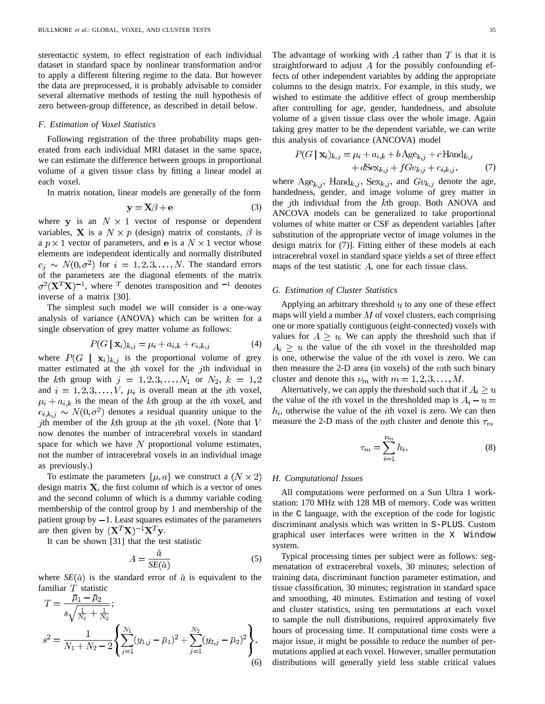stereotactic system, to effect registration of each individual dataset in standard space by nonlinear transformation and/or to apply a different filtering regime to the data. But however the data are preprocessed, it is probably advisable to consider several alternative methods of testing the null hypothesis of zero between-group difference, as described in detail below.

# *F. Estimation of Voxel Statistics*

Following registration of the three probability maps generated from each individual MRI dataset in the same space, we can estimate the difference between groups in proportional volume of a given tissue class by fitting a linear model at each voxel.

In matrix notation, linear models are generally of the form

$$
y = X\beta + e \tag{3}
$$

where y is an  $N \times 1$  vector of response or dependent variables, **X** is a  $N \times p$  (design) matrix of constants,  $\beta$  is a  $p \times 1$  vector of parameters, and e is a  $N \times 1$  vector whose elements are independent identically and normally distributed  $e_i \sim N(0, \sigma^2)$  for  $i = 1, 2, 3, ..., N$ . The standard errors of the parameters are the diagonal elements of the matrix  $\sigma^2$ ( $X^T$  $X$ )<sup>-1</sup>, where  $\tau$  denotes transposition and  $\tau^1$  denotes inverse of a matrix [30].

The simplest such model we will consider is a one-way analysis of variance (ANOVA) which can be written for a single observation of grey matter volume as follows:

$$
P(G \mid \mathbf{x}_i)_{k,j} = \mu_i + a_{i,k} + e_{i,k,j} \tag{4}
$$

where  $P(G | \mathbf{x}_i)_{k,j}$  is the proportional volume of grey matter estimated at the  $i$ th voxel for the  $j$ th individual in the kth group with  $j = 1, 2, 3, ..., N_1$  or  $N_2$ ,  $k = 1, 2$ and  $i = 1, 2, 3, ..., V$ ,  $\mu_i$  is overall mean at the *i*th voxel,  $\mu_i + a_{i,k}$  is the mean of the kth group at the *i*th voxel, and  $e_{i,k,j} \sim N(0,\sigma^2)$  denotes a residual quantity unique to the jth member of the  $k$ th group at the *i*th voxel. (Note that  $V$ now denotes the number of intracerebral voxels in standard space for which we have  $N$  proportional volume estimates, not the number of intracerebral voxels in an individual image as previously.)

To estimate the parameters  $\{\mu, a\}$  we construct a  $(N \times 2)$ design matrix  $X$ , the first column of which is a vector of ones and the second column of which is a dummy variable coding membership of the control group by 1 and membership of the patient group by  $-1$ . Least squares estimates of the parameters are then given by  $(X^T X)^{-1} X^T y$ .

It can be shown [31] that the test statistic

$$
A = \frac{\hat{a}}{SE(\hat{a})}
$$
 (5)

where  $SE(\hat{a})$  is the standard error of  $\hat{a}$  is equivalent to the familiar  $T$  statistic

$$
T = \frac{\mu_1 - \mu_2}{s\sqrt{\frac{1}{N_1} + \frac{1}{N_2}}};
$$
  

$$
s^2 = \frac{1}{N_1 + N_2 - 2} \left\{ \sum_{j=1}^{N_1} (y_{1,j} - \bar{\mu}_1)^2 + \sum_{j=1}^{N_2} (y_{2,j} - \bar{\mu}_2)^2 \right\}.
$$
(6)

The advantage of working with  $\Lambda$  rather than  $T$  is that it is straightforward to adjust  $\tilde{A}$  for the possibly confounding effects of other independent variables by adding the appropriate columns to the design matrix. For example, in this study, we wished to estimate the additive effect of group membership after controlling for age, gender, handedness, and absolute volume of a given tissue class over the whole image. Again taking grey matter to be the dependent variable, we can write this analysis of covariance (ANCOVA) model

$$
P(G \mid \mathbf{x}_i)_{k,j} = \mu_i + a_{i,k} + b \operatorname{Age}_{k,j} + c \operatorname{Hand}_{k,j} + d\operatorname{Sex}_{k,j} + fGv_{k,j} + e_{i,k,j}, \tag{7}
$$

where  $\text{Age}_{k,j}$ ,  $\text{Hand}_{k,j}$ ,  $\text{Sex}_{k,j}$ , and  $Gv_{k,j}$  denote the age, handedness, gender, and image volume of grey matter in the jth individual from the  $k$ th group. Both ANOVA and ANCOVA models can be generalized to take proportional volumes of white matter or CSF as dependent variables [after substitution of the appropriate vector of image volumes in the design matrix for (7)]. Fitting either of these models at each intracerebral voxel in standard space yields a set of three effect maps of the test statistic  $A$ , one for each tissue class.

# *G. Estimation of Cluster Statistics*

Applying an arbitrary threshold  $u$  to any one of these effect maps will yield a number  $M$  of voxel clusters, each comprising one or more spatially contiguous (eight-connected) voxels with values for  $A \geq u$ . We can apply the threshold such that if  $A_i \geq u$  the value of the *i*th voxel in the thresholded map is one, otherwise the value of the  $i$ th voxel is zero. We can then measure the 2-D area (in voxels) of the  $m$ th such binary cluster and denote this  $\nu_m$  with  $m = 1, 2, 3, ..., M$ .

Alternatively, we can apply the threshold such that if  $A_i \geq u$ the value of the *i*th voxel in the thresholded map is  $A_i - u =$  $h_i$ , otherwise the value of the *i*th voxel is zero. We can then measure the 2-D mass of the mth cluster and denote this  $\tau_m$ 

$$
\tau_m = \sum_{i=1}^{\nu_m} h_i.
$$
\n(8)

#### *H. Computational Issues*

All computations were performed on a Sun Ultra 1 workstation: 170 MHz with 128 MB of memory. Code was written in the C language, with the exception of the code for logistic discriminant analysis which was written in S-PLUS. Custom graphical user interfaces were written in the X Window system.

Typical processing times per subject were as follows: segmenatation of extracerebral voxels, 30 minutes; selection of training data, discriminant function parameter estimation, and tissue classification, 30 minutes; registration in standard space and smoothing, 40 minutes. Estimation and testing of voxel and cluster statistics, using ten permutations at each voxel to sample the null distributions, required approximately five hours of processing time. If computational time costs were a major issue, it might be possible to reduce the number of permutations applied at each voxel. However, smaller permutation distributions will generally yield less stable critical values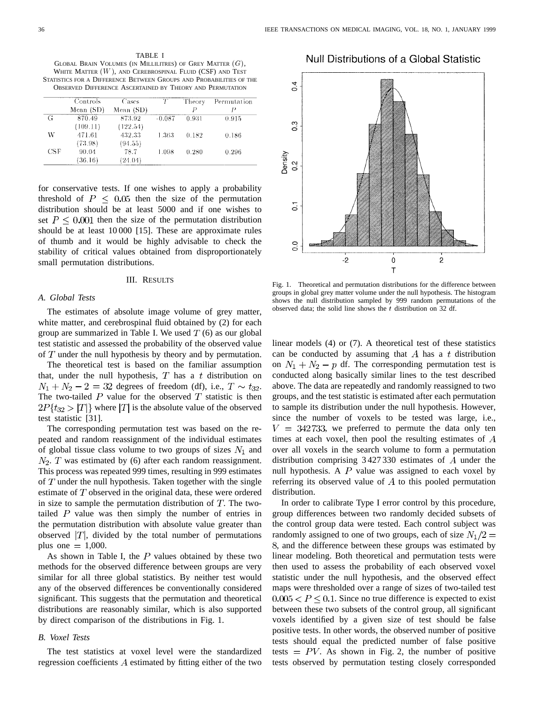TABLE I GLOBAL BRAIN VOLUMES (IN MILLILITRES) OF GREY MATTER  $(G)$ , WHITE MATTER  $(W)$ , and Cerebrospinal Fluid (CSF) and Test STATISTICS FOR A DIFFERENCE BETWEEN GROUPS AND PROBABILITIES OF THE OBSERVED DIFFERENCE ASCERTAINED BY THEORY AND PERMUTATION

|     | Controls<br>Mean $(SD)$ | Cases<br>Mean (SD) | Ŧ        | Theory | Permutation |
|-----|-------------------------|--------------------|----------|--------|-------------|
|     |                         |                    |          |        |             |
| G   | 870.49                  | 873.92             | $-0.087$ | 0.931  | 0.915       |
|     | (109.11)                | (122.54)           |          |        |             |
| W   | 471.61                  | 432.33             | 1.363    | 0.182  | 0.186       |
|     | (73.98)                 | (94.55)            |          |        |             |
| CSF | 90.04                   | 78.7               | 1.098    | 0.280  | 0.296       |
|     | (36.16)                 | (24.04)            |          |        |             |

for conservative tests. If one wishes to apply a probability threshold of  $P \leq 0.05$  then the size of the permutation distribution should be at least 5000 and if one wishes to set  $P \leq 0.001$  then the size of the permutation distribution should be at least 10 000 [15]. These are approximate rules of thumb and it would be highly advisable to check the stability of critical values obtained from disproportionately small permutation distributions.

# III. RESULTS

#### *A. Global Tests*

The estimates of absolute image volume of grey matter, white matter, and cerebrospinal fluid obtained by (2) for each group are summarized in Table I. We used  $T(6)$  as our global test statistic and assessed the probability of the observed value of  $T$  under the null hypothesis by theory and by permutation.

The theoretical test is based on the familiar assumption that, under the null hypothesis,  $T$  has a  $t$  distribution on  $N_1 + N_2 - 2 = 32$  degrees of freedom (df), i.e.,  $T \sim t_{32}$ . The two-tailed  $P$  value for the observed  $T$  statistic is then  $2P\{t_{32} > |T|\}$  where  $|T|$  is the absolute value of the observed test statistic [31].

The corresponding permutation test was based on the repeated and random reassignment of the individual estimates of global tissue class volume to two groups of sizes  $N_1$  and  $N_2$ . T was estimated by (6) after each random reassignment. This process was repeated 999 times, resulting in 999 estimates of  $T$  under the null hypothesis. Taken together with the single estimate of  $T$  observed in the original data, these were ordered in size to sample the permutation distribution of  $T$ . The twotailed  $P$  value was then simply the number of entries in the permutation distribution with absolute value greater than observed  $|T|$ , divided by the total number of permutations plus one  $= 1,000$ .

As shown in Table I, the  $P$  values obtained by these two methods for the observed difference between groups are very similar for all three global statistics. By neither test would any of the observed differences be conventionally considered significant. This suggests that the permutation and theoretical distributions are reasonably similar, which is also supported by direct comparison of the distributions in Fig. 1.

#### *B. Voxel Tests*

The test statistics at voxel level were the standardized regression coefficients  $A$  estimated by fitting either of the two





Fig. 1. Theoretical and permutation distributions for the difference between groups in global grey matter volume under the null hypothesis. The histogram shows the null distribution sampled by 999 random permutations of the observed data; the solid line shows the  $t$  distribution on 32 df.

linear models (4) or (7). A theoretical test of these statistics can be conducted by assuming that A has a t distribution on  $N_1 + N_2 - p$  df. The corresponding permutation test is conducted along basically similar lines to the test described above. The data are repeatedly and randomly reassigned to two groups, and the test statistic is estimated after each permutation to sample its distribution under the null hypothesis. However, since the number of voxels to be tested was large, i.e.,  $V = 342733$ , we preferred to permute the data only ten times at each voxel, then pool the resulting estimates of  $A$ over all voxels in the search volume to form a permutation distribution comprising  $3427330$  estimates of A under the null hypothesis. A  $P$  value was assigned to each voxel by referring its observed value of  $A$  to this pooled permutation distribution.

In order to calibrate Type I error control by this procedure, group differences between two randomly decided subsets of the control group data were tested. Each control subject was randomly assigned to one of two groups, each of size  $N_1/2 =$ , and the difference between these groups was estimated by linear modeling. Both theoretical and permutation tests were then used to assess the probability of each observed voxel statistic under the null hypothesis, and the observed effect maps were thresholded over a range of sizes of two-tailed test  $0.005 < P \leq 0.1$ . Since no true difference is expected to exist between these two subsets of the control group, all significant voxels identified by a given size of test should be false positive tests. In other words, the observed number of positive tests should equal the predicted number of false positive tests  $= PV$ . As shown in Fig. 2, the number of positive tests observed by permutation testing closely corresponded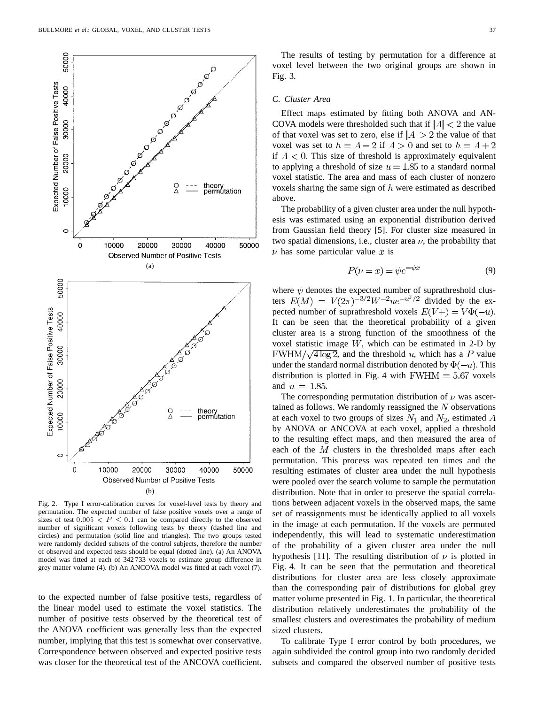

Fig. 2. Type I error-calibration curves for voxel-level tests by theory and permutation. The expected number of false positive voxels over a range of sizes of test  $0.005 < P \leq 0.1$  can be compared directly to the observed number of significant voxels following tests by theory (dashed line and circles) and permutation (solid line and triangles). The two groups tested were randomly decided subsets of the control subjects, therefore the number of observed and expected tests should be equal (dotted line). (a) An ANOVA model was fitted at each of 342 733 voxels to estimate group difference in grey matter volume (4). (b) An ANCOVA model was fitted at each voxel (7).

to the expected number of false positive tests, regardless of the linear model used to estimate the voxel statistics. The number of positive tests observed by the theoretical test of the ANOVA coefficient was generally less than the expected number, implying that this test is somewhat over conservative. Correspondence between observed and expected positive tests was closer for the theoretical test of the ANCOVA coefficient.

The results of testing by permutation for a difference at voxel level between the two original groups are shown in Fig. 3.

#### *C. Cluster Area*

Effect maps estimated by fitting both ANOVA and AN-COVA models were thresholded such that if  $|A| < 2$  the value of that voxel was set to zero, else if  $|A| > 2$  the value of that voxel was set to  $h = A - 2$  if  $A > 0$  and set to  $h = A + 2$ if  $A < 0$ . This size of threshold is approximately equivalent to applying a threshold of size  $u = 1.85$  to a standard normal voxel statistic. The area and mass of each cluster of nonzero voxels sharing the same sign of  $h$  were estimated as described above.

The probability of a given cluster area under the null hypothesis was estimated using an exponential distribution derived from Gaussian field theory [5]. For cluster size measured in two spatial dimensions, i.e., cluster area  $\nu$ , the probability that  $\nu$  has some particular value x is

$$
P(\nu = x) = \psi e^{-\psi x} \tag{9}
$$

where  $\psi$  denotes the expected number of suprathreshold clusters  $E(M) = V(2\pi)^{-3/2}W^{-2}ue^{-u^2/2}$  divided by the expected number of suprathreshold voxels  $E(V+) = V\Phi(-u)$ . It can be seen that the theoretical probability of a given cluster area is a strong function of the smoothness of the voxel statistic image  $W$ , which can be estimated in 2-D by  $FWHM/\sqrt{4 \log 2}$ , and the threshold u, which has a P value under the standard normal distribution denoted by  $\Phi(-u)$ . This distribution is plotted in Fig. 4 with  $FWHM = 5.67$  voxels and  $u = 1.85$ .

The corresponding permutation distribution of  $\nu$  was ascertained as follows. We randomly reassigned the  $N$  observations at each voxel to two groups of sizes  $N_1$  and  $N_2$ , estimated  $A$ by ANOVA or ANCOVA at each voxel, applied a threshold to the resulting effect maps, and then measured the area of each of the  $M$  clusters in the thresholded maps after each permutation. This process was repeated ten times and the resulting estimates of cluster area under the null hypothesis were pooled over the search volume to sample the permutation distribution. Note that in order to preserve the spatial correlations between adjacent voxels in the observed maps, the same set of reassignments must be identically applied to all voxels in the image at each permutation. If the voxels are permuted independently, this will lead to systematic underestimation of the probability of a given cluster area under the null hypothesis [11]. The resulting distribution of  $\nu$  is plotted in Fig. 4. It can be seen that the permutation and theoretical distributions for cluster area are less closely approximate than the corresponding pair of distributions for global grey matter volume presented in Fig. 1. In particular, the theoretical distribution relatively underestimates the probability of the smallest clusters and overestimates the probability of medium sized clusters.

To calibrate Type I error control by both procedures, we again subdivided the control group into two randomly decided subsets and compared the observed number of positive tests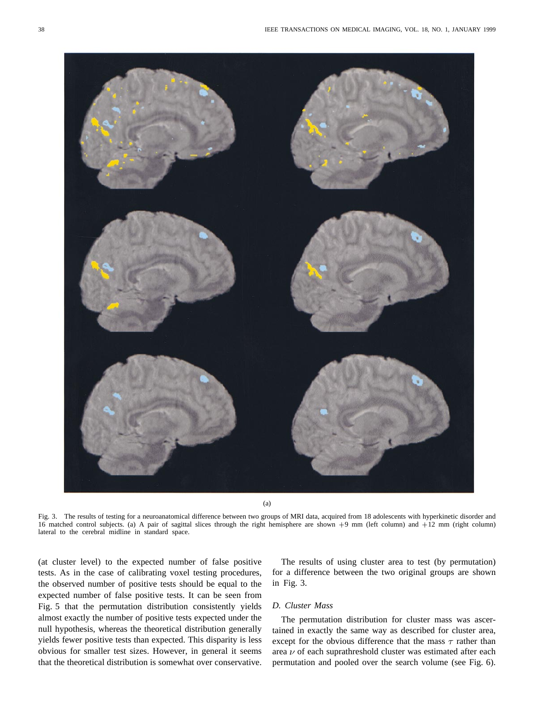

(a)

Fig. 3. The results of testing for a neuroanatomical difference between two groups of MRI data, acquired from 18 adolescents with hyperkinetic disorder and 16 matched control subjects. (a) A pair of sagittal slices through the right hemisphere are shown +9 mm (left column) and +12 mm (right column) lateral to the cerebral midline in standard space.

(at cluster level) to the expected number of false positive tests. As in the case of calibrating voxel testing procedures, the observed number of positive tests should be equal to the expected number of false positive tests. It can be seen from Fig. 5 that the permutation distribution consistently yields almost exactly the number of positive tests expected under the null hypothesis, whereas the theoretical distribution generally yields fewer positive tests than expected. This disparity is less obvious for smaller test sizes. However, in general it seems that the theoretical distribution is somewhat over conservative.

The results of using cluster area to test (by permutation) for a difference between the two original groups are shown in Fig. 3.

# *D. Cluster Mass*

The permutation distribution for cluster mass was ascertained in exactly the same way as described for cluster area, except for the obvious difference that the mass  $\tau$  rather than area  $\nu$  of each suprathreshold cluster was estimated after each permutation and pooled over the search volume (see Fig. 6).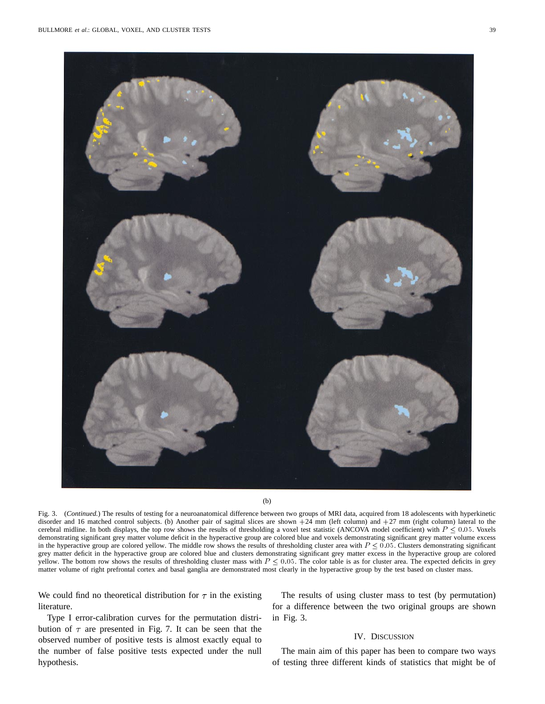

(b)

Fig. 3. (Continued.) The results of testing for a neuroanatomical difference between two groups of MRI data, acquired from 18 adolescents with hyperkinetic disorder and 16 matched control subjects. (b) Another pair of sagittal slices are shown +24 mm (left column) and +27 mm (right column) lateral to the cerebral midline. In both displays, the top row shows the results of thresholding a voxel test statistic (ANCOVA model coefficient) with  $P \le 0.05$ . Voxels demonstrating significant grey matter volume deficit in the hyperactive group are colored blue and voxels demonstrating significant grey matter volume excess in the hyperactive group are colored yellow. The middle row shows the results of thresholding cluster area with  $P \leq 0.05$ . Clusters demonstrating significant grey matter deficit in the hyperactive group are colored blue and clusters demonstrating significant grey matter excess in the hyperactive group are colored yellow. The bottom row shows the results of thresholding cluster mass with  $P \leq 0.05$ . The color table is as for cluster area. The expected deficits in grey matter volume of right prefrontal cortex and basal ganglia are demonstrated most clearly in the hyperactive group by the test based on cluster mass.

We could find no theoretical distribution for  $\tau$  in the existing literature.

Type I error-calibration curves for the permutation distribution of  $\tau$  are presented in Fig. 7. It can be seen that the observed number of positive tests is almost exactly equal to the number of false positive tests expected under the null hypothesis.

The results of using cluster mass to test (by permutation) for a difference between the two original groups are shown in Fig. 3.

# IV. DISCUSSION

The main aim of this paper has been to compare two ways of testing three different kinds of statistics that might be of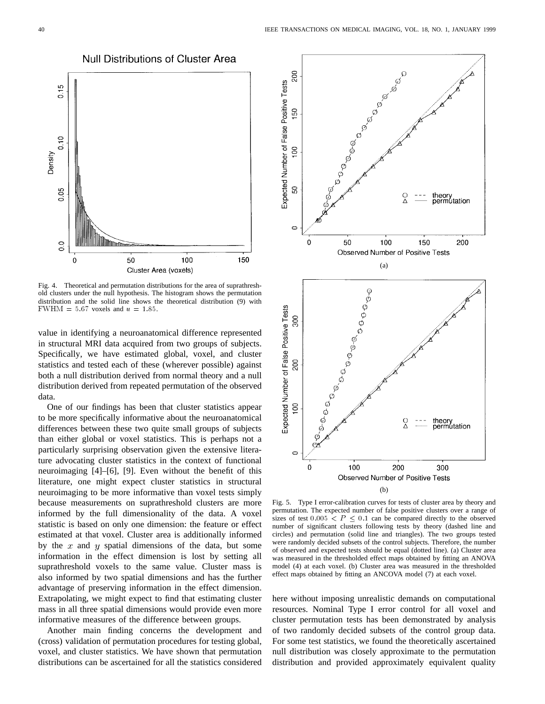

Fig. 4. Theoretical and permutation distributions for the area of suprathreshold clusters under the null hypothesis. The histogram shows the permutation distribution and the solid line shows the theoretical distribution (9) with FWHM =  $5.67$  voxels and  $u = 1.85$ .

value in identifying a neuroanatomical difference represented in structural MRI data acquired from two groups of subjects. Specifically, we have estimated global, voxel, and cluster statistics and tested each of these (wherever possible) against both a null distribution derived from normal theory and a null distribution derived from repeated permutation of the observed data.

One of our findings has been that cluster statistics appear to be more specifically informative about the neuroanatomical differences between these two quite small groups of subjects than either global or voxel statistics. This is perhaps not a particularly surprising observation given the extensive literature advocating cluster statistics in the context of functional neuroimaging [4]–[6], [9]. Even without the benefit of this literature, one might expect cluster statistics in structural neuroimaging to be more informative than voxel tests simply because measurements on suprathreshold clusters are more informed by the full dimensionality of the data. A voxel statistic is based on only one dimension: the feature or effect estimated at that voxel. Cluster area is additionally informed by the  $x$  and  $y$  spatial dimensions of the data, but some information in the effect dimension is lost by setting all suprathreshold voxels to the same value. Cluster mass is also informed by two spatial dimensions and has the further advantage of preserving information in the effect dimension. Extrapolating, we might expect to find that estimating cluster mass in all three spatial dimensions would provide even more informative measures of the difference between groups.

Another main finding concerns the development and (cross) validation of permutation procedures for testing global, voxel, and cluster statistics. We have shown that permutation distributions can be ascertained for all the statistics considered



Fig. 5. Type I error-calibration curves for tests of cluster area by theory and permutation. The expected number of false positive clusters over a range of sizes of test  $0.005 < P \le 0.1$  can be compared directly to the observed number of significant clusters following tests by theory (dashed line and circles) and permutation (solid line and triangles). The two groups tested were randomly decided subsets of the control subjects. Therefore, the number of observed and expected tests should be equal (dotted line). (a) Cluster area was measured in the thresholded effect maps obtained by fitting an ANOVA model (4) at each voxel. (b) Cluster area was measured in the thresholded effect maps obtained by fitting an ANCOVA model (7) at each voxel.

here without imposing unrealistic demands on computational resources. Nominal Type I error control for all voxel and cluster permutation tests has been demonstrated by analysis of two randomly decided subsets of the control group data. For some test statistics, we found the theoretically ascertained null distribution was closely approximate to the permutation distribution and provided approximately equivalent quality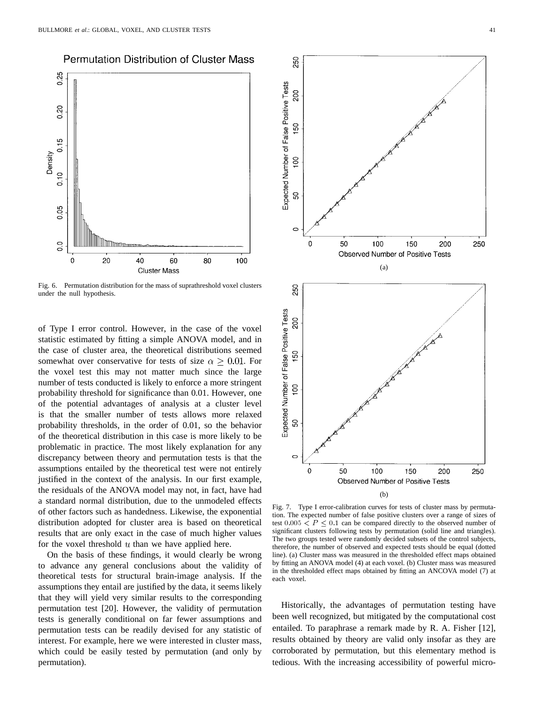# **Permutation Distribution of Cluster Mass**



Fig. 6. Permutation distribution for the mass of suprathreshold voxel clusters under the null hypothesis.

of Type I error control. However, in the case of the voxel statistic estimated by fitting a simple ANOVA model, and in the case of cluster area, the theoretical distributions seemed somewhat over conservative for tests of size  $\alpha > 0.01$ . For the voxel test this may not matter much since the large number of tests conducted is likely to enforce a more stringent probability threshold for significance than 0.01. However, one of the potential advantages of analysis at a cluster level is that the smaller number of tests allows more relaxed probability thresholds, in the order of 0.01, so the behavior of the theoretical distribution in this case is more likely to be problematic in practice. The most likely explanation for any discrepancy between theory and permutation tests is that the assumptions entailed by the theoretical test were not entirely justified in the context of the analysis. In our first example, the residuals of the ANOVA model may not, in fact, have had a standard normal distribution, due to the unmodeled effects of other factors such as handedness. Likewise, the exponential distribution adopted for cluster area is based on theoretical results that are only exact in the case of much higher values for the voxel threshold  $u$  than we have applied here.

On the basis of these findings, it would clearly be wrong to advance any general conclusions about the validity of theoretical tests for structural brain-image analysis. If the assumptions they entail are justified by the data, it seems likely that they will yield very similar results to the corresponding permutation test [20]. However, the validity of permutation tests is generally conditional on far fewer assumptions and permutation tests can be readily devised for any statistic of interest. For example, here we were interested in cluster mass, which could be easily tested by permutation (and only by permutation).



Fig. 7. Type I error-calibration curves for tests of cluster mass by permutation. The expected number of false positive clusters over a range of sizes of test  $0.005 < P \le 0.1$  can be compared directly to the observed number of significant clusters following tests by permutation (solid line and triangles). The two groups tested were randomly decided subsets of the control subjects, therefore, the number of observed and expected tests should be equal (dotted line). (a) Cluster mass was measured in the thresholded effect maps obtained by fitting an ANOVA model (4) at each voxel. (b) Cluster mass was measured in the thresholded effect maps obtained by fitting an ANCOVA model (7) at each voxel.

Historically, the advantages of permutation testing have been well recognized, but mitigated by the computational cost entailed. To paraphrase a remark made by R. A. Fisher [12], results obtained by theory are valid only insofar as they are corroborated by permutation, but this elementary method is tedious. With the increasing accessibility of powerful micro